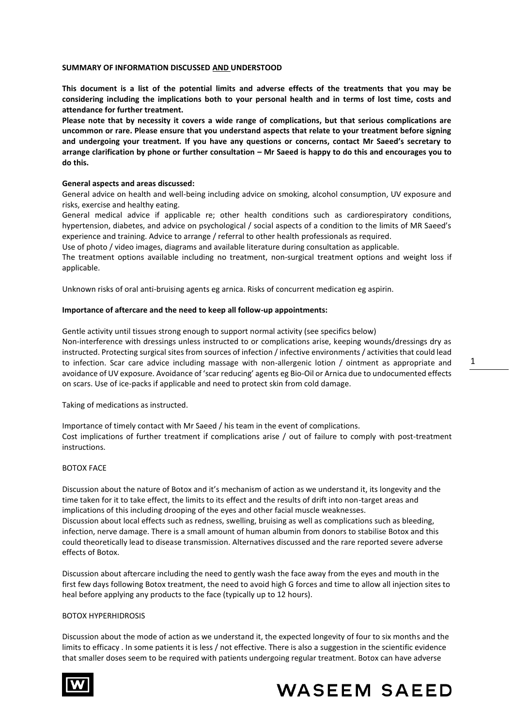## **SUMMARY OF INFORMATION DISCUSSED AND UNDERSTOOD**

**This document is a list of the potential limits and adverse effects of the treatments that you may be considering including the implications both to your personal health and in terms of lost time, costs and attendance for further treatment.** 

**Please note that by necessity it covers a wide range of complications, but that serious complications are uncommon or rare. Please ensure that you understand aspects that relate to your treatment before signing and undergoing your treatment. If you have any questions or concerns, contact Mr Saeed's secretary to arrange clarification by phone or further consultation – Mr Saeed is happy to do this and encourages you to do this.**

## **General aspects and areas discussed:**

General advice on health and well-being including advice on smoking, alcohol consumption, UV exposure and risks, exercise and healthy eating.

General medical advice if applicable re; other health conditions such as cardiorespiratory conditions, hypertension, diabetes, and advice on psychological / social aspects of a condition to the limits of MR Saeed's experience and training. Advice to arrange / referral to other health professionals as required.

Use of photo / video images, diagrams and available literature during consultation as applicable.

The treatment options available including no treatment, non-surgical treatment options and weight loss if applicable.

Unknown risks of oral anti-bruising agents eg arnica. Risks of concurrent medication eg aspirin.

## **Importance of aftercare and the need to keep all follow-up appointments:**

Gentle activity until tissues strong enough to support normal activity (see specifics below) Non-interference with dressings unless instructed to or complications arise, keeping wounds/dressings dry as instructed. Protecting surgical sites from sources of infection / infective environments / activities that could lead to infection. Scar care advice including massage with non-allergenic lotion / ointment as appropriate and avoidance of UV exposure. Avoidance of 'scar reducing' agents eg Bio-Oil or Arnica due to undocumented effects on scars. Use of ice-packs if applicable and need to protect skin from cold damage.

Taking of medications as instructed.

Importance of timely contact with Mr Saeed / his team in the event of complications. Cost implications of further treatment if complications arise / out of failure to comply with post-treatment instructions.

# BOTOX FACE

Discussion about the nature of Botox and it's mechanism of action as we understand it, its longevity and the time taken for it to take effect, the limits to its effect and the results of drift into non-target areas and implications of this including drooping of the eyes and other facial muscle weaknesses. Discussion about local effects such as redness, swelling, bruising as well as complications such as bleeding, infection, nerve damage. There is a small amount of human albumin from donors to stabilise Botox and this could theoretically lead to disease transmission. Alternatives discussed and the rare reported severe adverse effects of Botox.

Discussion about aftercare including the need to gently wash the face away from the eyes and mouth in the first few days following Botox treatment, the need to avoid high G forces and time to allow all injection sites to heal before applying any products to the face (typically up to 12 hours).

## BOTOX HYPERHIDROSIS

Discussion about the mode of action as we understand it, the expected longevity of four to six months and the limits to efficacy . In some patients it is less / not effective. There is also a suggestion in the scientific evidence that smaller doses seem to be required with patients undergoing regular treatment. Botox can have adverse





1